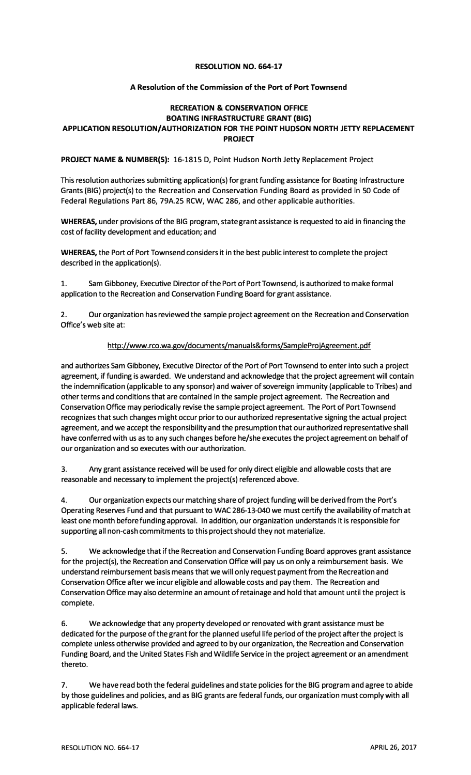## **RESOLUTION NO. 664-17**

## **A Resolution of the Commission of the Port of Port Townsend**

## **RECREATION & CONSERVATION OFFICE BOATING INFRASTRUCTURE GRANT (BIG) APPLICATION RESOLUTION/AUTHORIZATION FOR THE POINT HUDSON NORTH JETTY REPLACEMENT PROJECT**

**PROJECT NAME & NUMBER(S):** 16-1815 D, Point Hudson North Jetty Replacement Project

This resolution authorizes submitting application(s) for grant funding assistance for Boating Infrastructure Grants (BIG) project(s) to the Recreation and Conservation Funding Board as provided in 50 Code of Federal Regulations Part 86, 79A.25 RCW, WAC 286, and other applicable authorities.

**WHEREAS,** under provisions of the BIG program, state grant assistance is requested to aid in financing the cost of facility development and education; and

**WHEREAS,** the Port of Port Townsend considers it in the best public interest to complete the project described in the application(s).

1. Sam Gibboney, Executive Director of the Port of Port Townsend, is authorized to make formal application to the Recreation and Conservation Funding Board for grant assistance.

2. Our organization has reviewed the sample project agreement on the Recreation and Conservation Office's web site at:

## http://www.rco.wa.gov/documents/manuals&forms/SampleProjAgreement.pdf

and authorizes Sam Gibboney, Executive Director of the Port of Port Townsend to enter into such a project agreement, if funding is awarded. We understand and acknowledge that the project agreement will contain the indemnification (applicable to any sponsor) and waiver of sovereign immunity (applicable to Tribes) and other terms and conditions that are contained in the sample project agreement. The Recreation and Conservation Office may periodically revise the sample project agreement. The Port of Port Townsend recognizes that such changes might occur prior to our authorized representative signing the actual project agreement, and we accept the responsibility and the presumption that our authorized representative shall have conferred with us as to any such changes before he/she executes the project agreement on behalf of our organization and so executes with our authorization.

3. Any grant assistance received will be used for only direct eligible and allowable costs that are reasonable and necessary to implement the project(s) referenced above.

4. Our organization expects our matching share of project funding will be derived from the Port's Operating Reserves Fund and that pursuant to WAC 286-13-040 we must certify the availability of match at least one month before funding approval. In addition, our organization understands it is responsible for supporting all non-cash commitments to this project should they not materialize.

5. We acknowledge that if the Recreation and Conservation Funding Board approves grant assistance for the project(s), the Recreation and Conservation Office will pay us on only a reimbursement basis. We understand reimbursement basis means that we will only request payment from the Recreation and Conservation Office after we incur eligible and allowable costs and pay them. The Recreation and Conservation Office may also determine an amount of retainage and hold that amount until the project is complete.

6. We acknowledge that any property developed or renovated with grant assistance must be dedicated for the purpose of the grant for the planned useful life period of the project after the project is complete unless otherwise provided and agreed to by our organization, the Recreation and Conservation Funding Board, and the United States Fish and Wildlife Service in the project agreement or an amendment thereto.

7. We have read both the federal guidelines and state policies for the BIG program and agree to abide by those guidelines and policies, and as BIG grants are federal funds, our organization must comply with all applicable federal laws.